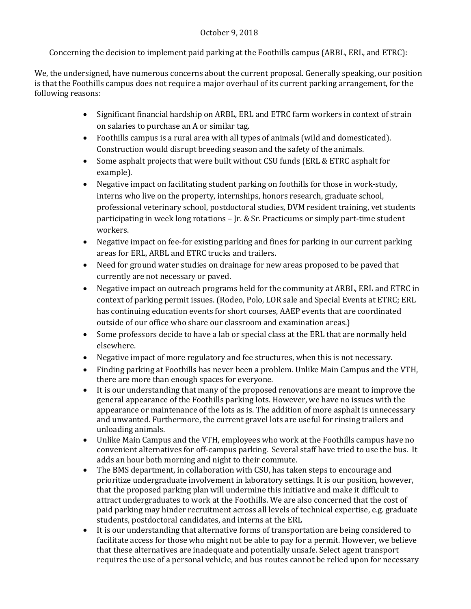#### October 9, 2018

Concerning the decision to implement paid parking at the Foothills campus (ARBL, ERL, and ETRC):

We, the undersigned, have numerous concerns about the current proposal. Generally speaking, our position is that the Foothills campus does not require a major overhaul of its current parking arrangement, for the following reasons:

- Significant financial hardship on ARBL, ERL and ETRC farm workers in context of strain on salaries to purchase an A or similar tag.
- Foothills campus is a rural area with all types of animals (wild and domesticated). Construction would disrupt breeding season and the safety of the animals.
- Some asphalt projects that were built without CSU funds (ERL & ETRC asphalt for example).
- Negative impact on facilitating student parking on foothills for those in work-study, interns who live on the property, internships, honors research, graduate school, professional veterinary school, postdoctoral studies, DVM resident training, vet students participating in week long rotations – Jr. & Sr. Practicums or simply part-time student workers.
- Negative impact on fee-for existing parking and fines for parking in our current parking areas for ERL, ARBL and ETRC trucks and trailers.
- Need for ground water studies on drainage for new areas proposed to be paved that currently are not necessary or paved.
- Negative impact on outreach programs held for the community at ARBL, ERL and ETRC in context of parking permit issues. (Rodeo, Polo, LOR sale and Special Events at ETRC; ERL has continuing education events for short courses, AAEP events that are coordinated outside of our office who share our classroom and examination areas.)
- Some professors decide to have a lab or special class at the ERL that are normally held elsewhere.
- Negative impact of more regulatory and fee structures, when this is not necessary.
- Finding parking at Foothills has never been a problem. Unlike Main Campus and the VTH, there are more than enough spaces for everyone.
- It is our understanding that many of the proposed renovations are meant to improve the general appearance of the Foothills parking lots. However, we have no issues with the appearance or maintenance of the lots as is. The addition of more asphalt is unnecessary and unwanted. Furthermore, the current gravel lots are useful for rinsing trailers and unloading animals.
- Unlike Main Campus and the VTH, employees who work at the Foothills campus have no convenient alternatives for off-campus parking. Several staff have tried to use the bus. It adds an hour both morning and night to their commute.
- The BMS department, in collaboration with CSU, has taken steps to encourage and prioritize undergraduate involvement in laboratory settings. It is our position, however, that the proposed parking plan will undermine this initiative and make it difficult to attract undergraduates to work at the Foothills. We are also concerned that the cost of paid parking may hinder recruitment across all levels of technical expertise, e.g. graduate students, postdoctoral candidates, and interns at the ERL
- It is our understanding that alternative forms of transportation are being considered to facilitate access for those who might not be able to pay for a permit. However, we believe that these alternatives are inadequate and potentially unsafe. Select agent transport requires the use of a personal vehicle, and bus routes cannot be relied upon for necessary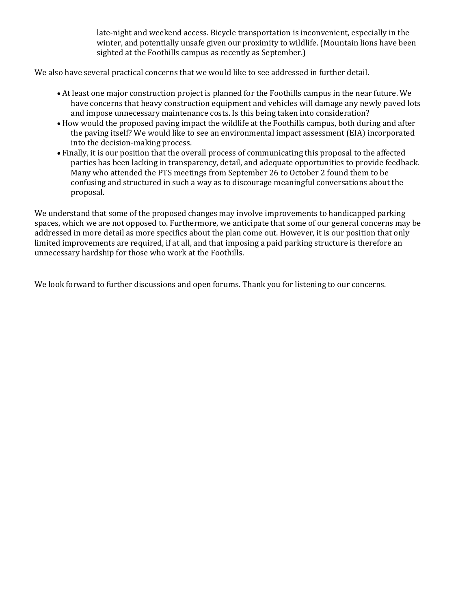late-night and weekend access. Bicycle transportation is inconvenient, especially in the winter, and potentially unsafe given our proximity to wildlife. (Mountain lions have been sighted at the Foothills campus as recently as September.)

We also have several practical concerns that we would like to see addressed in further detail.

- At least one major construction project is planned for the Foothills campus in the near future. We have concerns that heavy construction equipment and vehicles will damage any newly paved lots and impose unnecessary maintenance costs. Is this being taken into consideration?
- How would the proposed paving impact the wildlife at the Foothills campus, both during and after the paving itself? We would like to see an environmental impact assessment (EIA) incorporated into the decision-making process.
- Finally, it is our position that the overall process of communicating this proposal to the affected parties has been lacking in transparency, detail, and adequate opportunities to provide feedback. Many who attended the PTS meetings from September 26 to October 2 found them to be confusing and structured in such a way as to discourage meaningful conversations about the proposal.

We understand that some of the proposed changes may involve improvements to handicapped parking spaces, which we are not opposed to. Furthermore, we anticipate that some of our general concerns may be addressed in more detail as more specifics about the plan come out. However, it is our position that only limited improvements are required, if at all, and that imposing a paid parking structure is therefore an unnecessary hardship for those who work at the Foothills.

We look forward to further discussions and open forums. Thank you for listening to our concerns.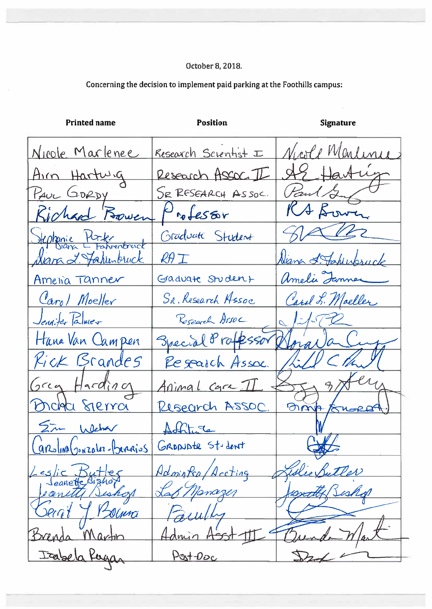| <b>Printed name</b>       | <b>Position</b>      | <b>Signature</b>   |
|---------------------------|----------------------|--------------------|
| <u>Nicole</u> Marlenee    | Research Scientist I | Nicole Mentinee    |
| Airn Hartwig              | Research ASSOC. I    | AS Hartug          |
| PAUL GORDY                | SE RESEARCH ASSOC.   | Paul Sung          |
| Richard Bowen             | Professor            | RA Bower           |
| Stephenie Porter          | Graduate Student     | gan                |
| <u>Siara 2. Tahunbuck</u> | $R\theta$ $\top$     | Niana & Fahlupsuck |
| Ameria Tanner             | Graduate Student     | Amelia Jammer      |
| Carol Moeller             | SR. Research Assoc   | Carol L. Moeller   |
| Jennifer Palmer           | Research Arsoc       | 1752               |
| Hana Van Campen           | Special 8 rafessor   | Grava Cup          |
| <i>Kick</i> Brandes       | Research Assoc.      | WCHW               |
| Grey Harding              | Animal Care II       | I gotern           |
| Bichte Sierra             | Risearch ASSOC.      | Omp fruses         |
| Sim Weber                 | Aohtisca             |                    |
| Carolina Gonzalez-Bergios | GRONDER St. dent     |                    |
| slic Butles               | Adminted Accting     | Wie Butler         |
| caneth<br>ishos           | Lap Manazer          |                    |
| Serat Y Bouna             | Paculh               |                    |
| Brenda Martin             | Admin A              |                    |
| Itabela Pergan            | <u>Post-Doc</u>      |                    |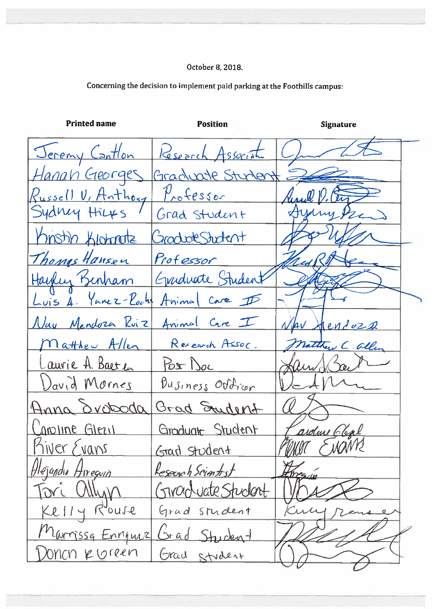| <b>Printed name</b> | Position               | <b>Signature</b> |
|---------------------|------------------------|------------------|
| Jeremy Cantlon      | Research Association   |                  |
| Hanan Georges       | Graduate Student E     |                  |
| Russell V, Anthony  | $P_{\text{ro}}$ fessor |                  |
| Sydney Hilfs        | Grad Student           |                  |
| Knstin Klohnatz     | GraduateStudent        |                  |
| Thomas Hansen       | Professor              |                  |
| Hayley Benham       | Graduate Student       |                  |
| Luis A. Yanez-Roch  | Animal Care I          |                  |
| Nay Mendoza Ruiz    | Animal Care I          | NAV<br>Hendozs   |
| natthew Allen       | Research Assoc.        | natthew C. allen |
| Laurie A. Baeten    | Post Doc               | au               |
| David Mornes        | $Busines$ Outron       |                  |
| Anna droboda        | Grad Student           |                  |
| anoline Glezil      | Groduate Student       | ardene Cleal     |
| Kiver Evans         | <u>Grad Student</u>    | SNOMB            |
| Hléjandin Arreguin  | Reserve h Scientist    | threadin         |
| <u> Forc Ullyn</u>  | Givanouate Student     |                  |
| Kelly Rouse         | Grad Student           |                  |
| Marrissa Enriquiz   | Grad Student           |                  |
| Donon roreen        | Grad stydent           |                  |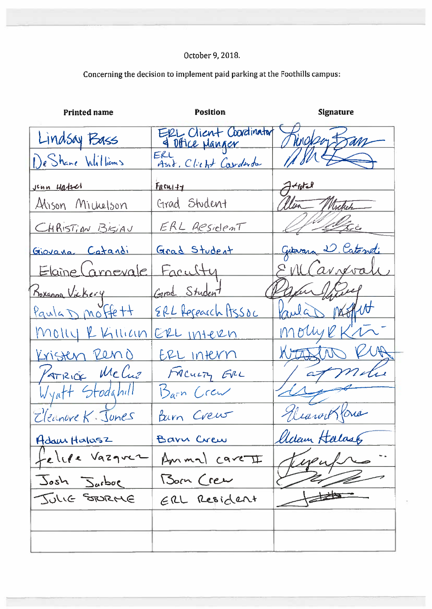| <b>Printed name</b>                | <b>Position</b>                                                            | <b>Signature</b>       |  |
|------------------------------------|----------------------------------------------------------------------------|------------------------|--|
| Lindsay Bass                       | ERL Client Coordinator<br>4 Office Manger<br>ERL<br>Asst. Client Coorderdo | Ringboy Ban            |  |
| De Shane Williams                  |                                                                            | $M M \nleftrightarrow$ |  |
| <u>jenn Hatsel</u>                 | $F_{R}$ cui++                                                              | $A + int I$            |  |
| Alison Michelson                   | Grad Student                                                               | alten Michel           |  |
| CHRISTIAN BISIAU                   | <u>ERL Resident</u>                                                        | lef 19 alfice          |  |
| Giovana Catandi                    | Grad Student                                                               | Giovann D. Catondi     |  |
| Elaine Carnevale                   | Faculty                                                                    | EMCarrevali            |  |
|                                    | Grad Student                                                               | Paper forest           |  |
| Roxanna Vickery<br>Paula D Moffett | ERL Research Assoc                                                         | Paula not              |  |
| <u>Molly RKillian</u>              | ERL INTERN                                                                 | molyekti               |  |
| Kristen Reno                       | ERL INKVN                                                                  | WITHOUT KIA            |  |
| PATRICK McCuz                      | FACULTY EVEL                                                               | / at molu              |  |
| Wyatt Stodahill                    | Barn Crew                                                                  |                        |  |
| Eleanore K. Junes                  | Parm Crew                                                                  | Eleanor Kons           |  |
| Adam Halasz                        | Barn Crew                                                                  | lldam Halases          |  |
| felipe Vazquez                     | Ammal care II                                                              |                        |  |
| Josh Jurboe                        | Born Crew                                                                  |                        |  |
| JULIE STORME                       | ERL Resident                                                               |                        |  |
|                                    |                                                                            |                        |  |
|                                    |                                                                            |                        |  |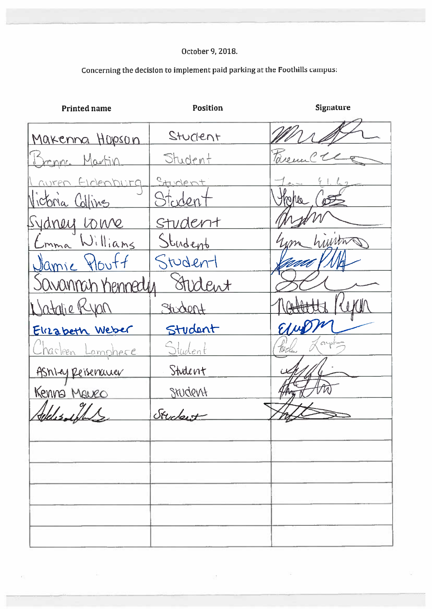## Concerning the decision to implement paid parking at the Foothills campus:

| <b>Printed name</b>      | <b>Position</b> | <b>Signature</b> |
|--------------------------|-----------------|------------------|
| Makenna Hopson           | Stuckent        |                  |
| <u>Bronna Martin</u>     | Student         | Tarenn           |
| auren finlenburg         | Student         |                  |
| Nictoria Collins         | Stoden          | trahee           |
| <u>Sydney Louve</u>      | Student         |                  |
| Emma Williams            | Student         | um hivitors      |
| <u> Damic Ploutf</u>     | Student         | UUT              |
| Savannah Kennedy         | Stednt          |                  |
| Watalie Ryon             | Stident         |                  |
| Elizabeth Weber          | Student         |                  |
| <u>Charleen Lamphere</u> | Student         | $\alpha$         |
| Ashlay Reisenauer        | Student         |                  |
| Kenna Mauro              | Student         |                  |
| Gelelisacht              | Student         |                  |
|                          |                 |                  |
|                          |                 |                  |
|                          |                 |                  |
|                          |                 |                  |
|                          |                 |                  |
|                          |                 |                  |

 $\frac{1}{2}$  ,  $\frac{1}{2}$ 

 $\geq 20$ 

 $\frac{1}{2} \frac{1}{2}$ 

 $\overline{r}$  )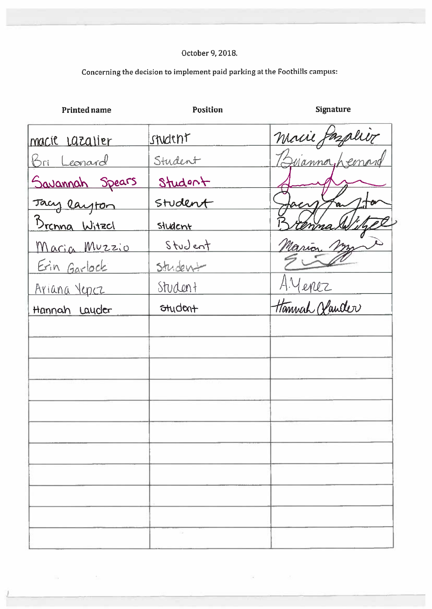## Concerning the decision to implement paid parking at the Foothills campus:

| <b>Printed name</b>  | <b>Position</b> | <b>Signature</b> |
|----------------------|-----------------|------------------|
| macie Lazalier       | student         |                  |
| <u>Bri Leonard</u>   | Student         | Macie Pazalièr   |
| Savannah Spears      | Student         |                  |
| Tacy layton          | Student         |                  |
| <u>Brenna Witzel</u> | student         |                  |
| Maria Muzzio         | Student         | Nario            |
| Erin Garlock         | Student         |                  |
| <u>Ariana Vepez</u>  | Student         | A.Menez          |
| Hannah Lauder        | Student         | Hannah Hauder    |
|                      |                 |                  |
|                      |                 |                  |
|                      |                 |                  |
|                      |                 |                  |
|                      |                 |                  |
|                      |                 |                  |
|                      |                 |                  |
|                      |                 |                  |
|                      |                 |                  |
|                      |                 |                  |
|                      |                 |                  |
|                      |                 |                  |

 $\langle \tilde{a}_i$ 

 $\label{eq:1.1} \frac{\partial \mathcal{L}_{\mathcal{A}}}{\partial \mathcal{L}_{\mathcal{A}}} = \frac{1}{\sqrt{2}} \sum_{i=1}^{n} \frac{1}{\sqrt{2}} \sum_{i=1}^{n} \frac{1}{\sqrt{2}} \sum_{i=1}^{n} \frac{1}{\sqrt{2}} \sum_{i=1}^{n} \frac{1}{\sqrt{2}} \sum_{i=1}^{n} \frac{1}{\sqrt{2}} \sum_{i=1}^{n} \frac{1}{\sqrt{2}} \sum_{i=1}^{n} \frac{1}{\sqrt{2}} \sum_{i=1}^{n} \frac{1}{\sqrt{2}} \sum_{i=1}^{n$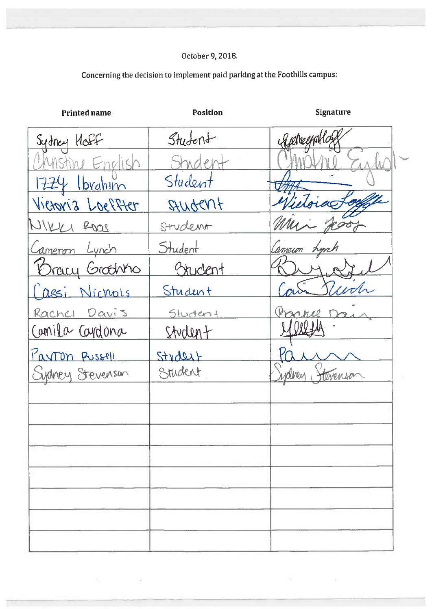| <b>Printed name</b>    | <b>Position</b> | <b>Signature</b> |
|------------------------|-----------------|------------------|
| Sydney Hoff            | Student         | Kielveemka       |
| Mstine English         | Student         |                  |
| $1724$ Ibrahim         | Student         |                  |
| Victoria Loeffter      | Stuctent        | inoiae           |
| WIKKI ROOS             | Student         |                  |
| Cameron Lynch          | Student         | Canneion hyph    |
| <u>Bracy Groothing</u> | Student         |                  |
| Cassi Nichols          | Student         |                  |
| Rachel Davis           | Student         |                  |
| Camila Cardona         | Student         |                  |
| <u>Panton Pussell</u>  | Stydert         |                  |
| Sydney Stevenson       | Student         | twenson          |
|                        |                 |                  |
|                        |                 |                  |
|                        |                 |                  |
|                        |                 |                  |
|                        |                 |                  |
|                        |                 |                  |
|                        |                 |                  |
|                        |                 |                  |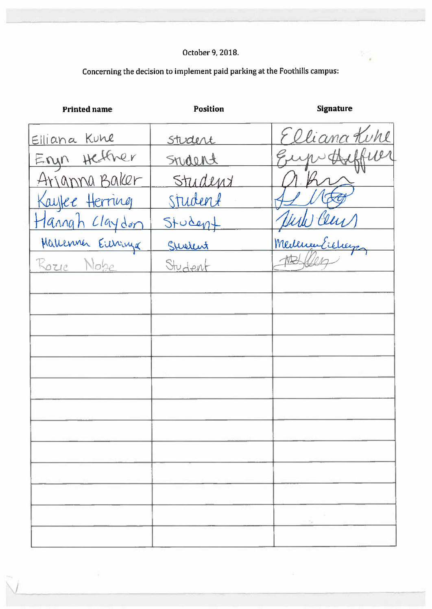### Concerning the decision to implement paid parking at the Foothills campus:

| <b>Printed name</b> | <b>Position</b> | <b>Signature</b> |
|---------------------|-----------------|------------------|
| Elliana Kune        | <u>Student</u>  | Elliana Kuhl     |
| Eryn Hether         | Srudent         | Eupotheliner     |
| Arjanna Baker       | Student         |                  |
| Kaytee Herring      | Student         |                  |
| Hannah Claydon      | $Stodeq+$       | Hill Cens        |
| Mallenner Erenniga  | Sturlent        | medena Eicher    |
| Rozie Nobe          | Student         |                  |
|                     |                 |                  |
|                     |                 |                  |
|                     |                 |                  |
|                     |                 |                  |
|                     |                 |                  |
|                     |                 |                  |
|                     |                 |                  |
|                     |                 |                  |
|                     |                 |                  |
|                     |                 |                  |
|                     |                 |                  |
|                     |                 |                  |
|                     |                 |                  |

 $\tilde{\mathcal{Z}}$ 

 $\mathcal{Z}$ 

 $\frac{1}{2} \frac{1}{\sqrt{2}}$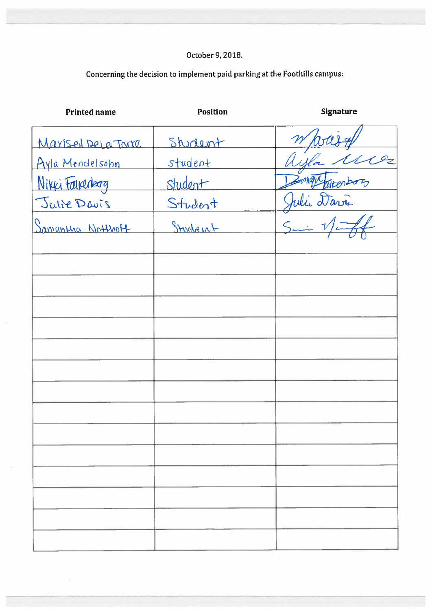| <b>Printed name</b>      | <b>Position</b> | <b>Signature</b>   |
|--------------------------|-----------------|--------------------|
| Marisel DeLa Tome        | Student         |                    |
| <u>Ayla Mendelsohn</u>   | student         |                    |
| Nikki Falkenberg         | Student         |                    |
| Julie Davis              | Student         |                    |
| <u>Samuntha Notthoff</u> | Stuchent        | Whouse<br>ayla Mes |
|                          |                 |                    |
|                          |                 |                    |
|                          |                 |                    |
|                          |                 |                    |
|                          |                 |                    |
|                          |                 |                    |
|                          |                 |                    |
|                          |                 |                    |
|                          |                 |                    |
|                          |                 |                    |
|                          |                 |                    |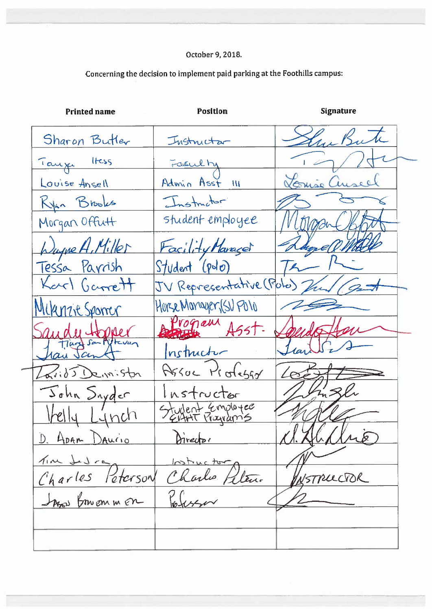**Position Signature Printed name** Sharon Butler Instructor Tanze Hess Louise Ansell Admin Asst  $\overline{W}$ Ryan Brooks structor student employee Morgan Offutt ugne A, Miller Facility Manager Tessa Parrish Student  $(\rho\circ\sigma)$ V Representative (Polo Garrett  $\overline{J}$ Horse Manager, (SU PO10 .<br>WONTLY Program Instructor Assue Professor e in:Stan つ tructor nyder Employee Apan DAUCIO  $\tilde{D}$  $\mathcal{L}$ Karlo len. STRUCTOR ∕ि Peterson Des Bruonner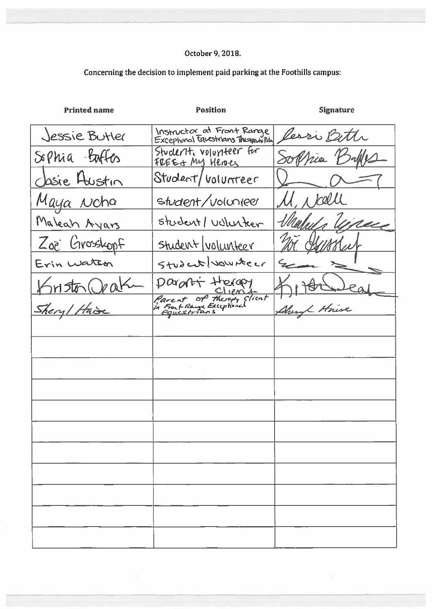### Concerning the decision to implement paid parking at the Foothills campus:

| <b>Printed name</b> | <b>Position</b>                                                    | <b>Signature</b> |
|---------------------|--------------------------------------------------------------------|------------------|
| Jessie Butler       | Instructor at Front Range<br>Exceptional telustrians Theogenhildly | Pessi Bette      |
| Sophia faftes       | Student, volumteer for<br><u>FREET MY HENES</u>                    | Soppia Balles    |
| dosie Austin        | Student/volunteer                                                  |                  |
| <u>Maya Noha</u>    | student/volunteer                                                  | Mr kell          |
| Maleah Ayars        | student/ volunter                                                  | inue             |
| Zoe Grosskopf       | Student/volunteer                                                  |                  |
| Erin water          | Student vousteer                                                   |                  |
| KHSto Orak          | paront therapy                                                     |                  |
| Shery/Haise         | Parent of theropy client<br>in Front Range Exceptional             | Shery House      |
|                     |                                                                    |                  |
|                     |                                                                    |                  |
|                     |                                                                    |                  |
|                     |                                                                    |                  |
|                     |                                                                    |                  |
|                     |                                                                    |                  |
|                     |                                                                    |                  |
|                     |                                                                    |                  |
|                     |                                                                    |                  |
|                     |                                                                    |                  |
|                     |                                                                    |                  |

 $\dot{\varpi}$ 

 $\frac{1}{2}$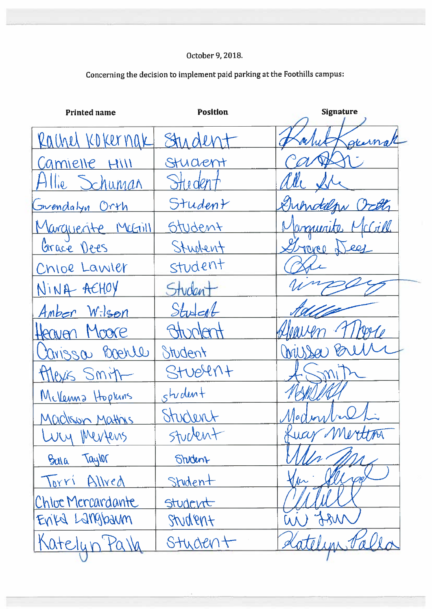| <b>Printed name</b> | <b>Position</b> | <b>Signature</b>               |
|---------------------|-----------------|--------------------------------|
| Rachel Kokernak     | Student         | geernal                        |
| Camielle Hill       | Student         |                                |
| Allie Schuman       | Student         | ade 1                          |
| Grendalyn Orth      | Student         | Duhrddepy Octt                 |
| Marquerite Machill  | Student         | Marquerite McCill              |
| Grace Dees          | Student         | Graves Deef                    |
| Chloe Lawler        | student         |                                |
| NINA AEHOY          | Student         |                                |
| Amber Wilson        | Student         |                                |
| Heaven Moore        | Attroder        |                                |
| Carissa Boenle      | Student         | Wussa                          |
| theys Smith         | Student         |                                |
| McVerma Hopkins     | student         |                                |
| Madison Mathis      | Student         | $\mathcal N$ a $\mathcal U$ re |
| WW Mertens          | stuctent        | Lucy Mertina                   |
| Taylor<br>BULA      | Student         |                                |
| Torri<br>Allred     | Student         | The                            |
| Chloe Mercardante   | Student         |                                |
| EVILA LAMBANM       | Student         | most<br>W                      |
| Katelyn Palla       | Student         | Catelun Va                     |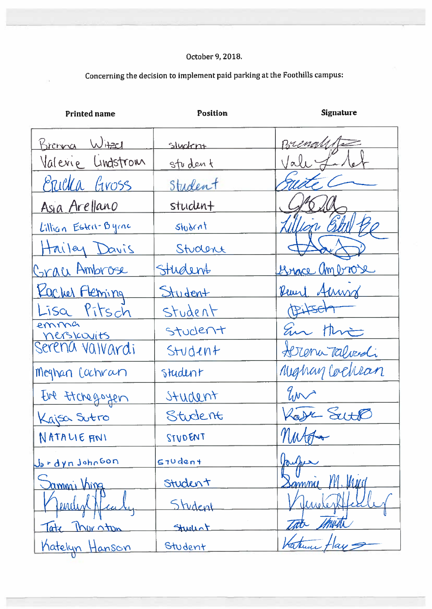| <b>Printed name</b>           | <b>Position</b> | <b>Signature</b>       |
|-------------------------------|-----------------|------------------------|
| <u>Brenna Witzel</u>          | sluckn+         | Brenge                 |
| Valerie Lindstrom             | student         |                        |
| <u>Ericka</u> Gross           | Student         |                        |
| Asia Arellano                 | studen+         |                        |
| Lillian Estern-Byrne          | student         | au C                   |
| Hailey Davis                  | Student         |                        |
| Crau Ambrose                  | Student         | <u> Lengce ambrose</u> |
| Kacker Fleming                | Student         | Reard Almond           |
| Lisa Pitsch                   | Student         | <b>Pitsch</b>          |
| emma                          | Student         | Em thri                |
| nerskouits<br>Serena valvardi | Student         | Herena Talverdi        |
| Meghan Cochran                | student         | Meghay Cochran         |
| Eve tichegoyen                | Student         | En                     |
| Kajsa Sutro                   | Student         | Kare Seith             |
| NATALIE ANI                   | STUDENT         |                        |
| <u>Jordyn John</u> son        | $510$ dent      |                        |
| <u>ammi Vina</u>              | Student         | $M_{MQ}$<br>Samme      |
| Lendin                        | Student         |                        |
| Tate Theration                | Studint         | mun                    |
| Katelyn Hanson                | Student         |                        |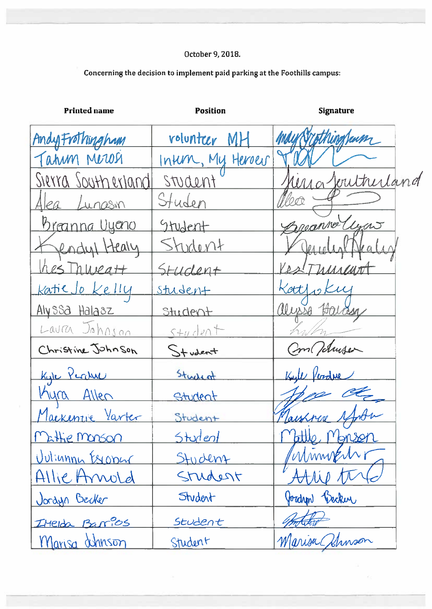| <b>Printed name</b>       | <b>Position</b><br><b>Signature</b> |  |                   |
|---------------------------|-------------------------------------|--|-------------------|
| AndyFrothingham           | rolunteer MH                        |  | may Sypthingham   |
| Tahum Merosi              | Intern, My Heroes                   |  |                   |
| <u>Sierra Southerland</u> | student                             |  | herra Joutherland |
| Alea Lunasin              | Studen                              |  | Nex               |
| <u>Breanna Uyeno</u>      | Student                             |  | Presenta Cyas     |
| Jendyl Healy              | Student                             |  | Jerielist P       |
| hes Thweatt               | Student                             |  | RestThurant       |
| <u>katie Jo Kelly</u>     | <u>student</u>                      |  | Kattfokuj         |
| Alyssa Halasz             | Student                             |  | alysse Harden     |
| Laura Johnson             | $5 + u$ dent                        |  |                   |
| Christine Johnson         | Student                             |  | Con Tolmser       |
| Kyle Perduc               | Student                             |  | Keyle Verdue      |
| <u>Myra Allen</u>         | Student                             |  |                   |
| Mackenzie Varter          | Student                             |  | Maishnese 14      |
| Mattie Monson             | Student                             |  | Vattle,<br>Monson |
| Uulinnan Essopar          | Student                             |  | Winner            |
| Allie Annold              | Studest                             |  |                   |
| Jordyn Becker             | Student                             |  | Jordyn Becker     |
| Itelda Barios             | Student                             |  |                   |
| Marisa athnson            | Student                             |  | Marisa Shinson    |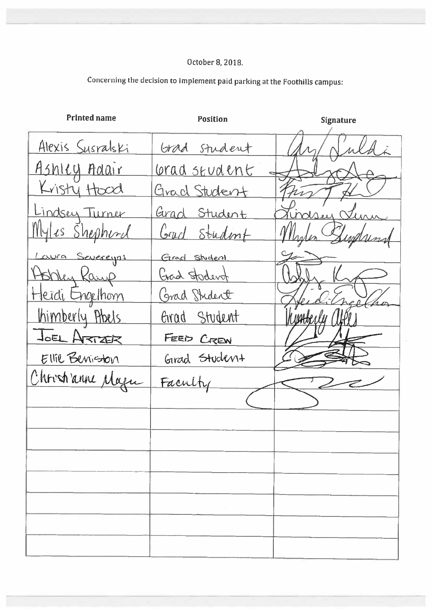| <b>Printed name</b>     | Position             | <b>Signature</b> |
|-------------------------|----------------------|------------------|
| <u>Alexis Susralski</u> | Grad student         |                  |
| Ashley Adair            | <u>Corad student</u> |                  |
| Kristy Hood             | Grad Student         |                  |
| Lindsey Turner          | Grad Student         | Crossey Sur      |
| <u>Myles Shepherd</u>   | Greed Studint        | Supplung         |
| Laura Severeyos         | Grad Student         |                  |
| Hobbey Ramp             | God Student          |                  |
| <u>Heidi Engelhom</u>   | Grad Student         |                  |
| <u>Ihimberly</u> Abels  | Grad Student         |                  |
| JOEL ARTZER             | FEED CREW            |                  |
| Ellie Beniston          | Girad Student        |                  |
| Chrostianne Magne       | Faculty              |                  |
|                         |                      |                  |
|                         |                      |                  |
|                         |                      |                  |
|                         |                      |                  |
|                         |                      |                  |
|                         |                      |                  |
|                         |                      |                  |
|                         |                      |                  |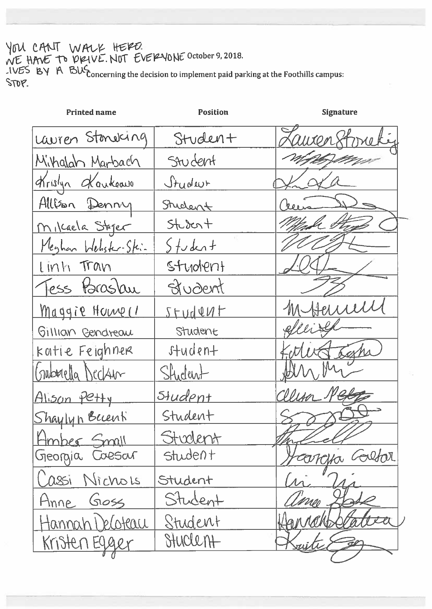YOU CANT WALK HERD.<br>WE HAVE TO DRIVE. NOT EVERVONE October 9, 2018.<br>JUES BY A BUS concerning the decision to implement paid parking at the Foothills campus: STOP.

| <b>Printed name</b>   | <b>Position</b> | <b>Signature</b> |
|-----------------------|-----------------|------------------|
| Lauren Standang       | Studen+         |                  |
| Mihalah Marbach       | Student         |                  |
| Krislyn Kankeave      | Jrudeur         |                  |
| Allison Denny         | Student         | $h_{0.0.8}$      |
| Milcaela Steper       | $5+200+$        |                  |
| Meghan Webster-Skin   | $5$ tudent      |                  |
| Linh Tran             | student         |                  |
| Tess Paraslau         | <b>Student</b>  |                  |
| <u>Maggie Home (1</u> | Student         | Hemill           |
| Gillian Gendreau      | Student         |                  |
| katie Feighner        | student         |                  |
| Gabuella Declan       | Student         |                  |
| Alison Petty          | <u>Student</u>  |                  |
| <u>Shaylyn Becent</u> | Student         |                  |
| Hmber Small           | <u>Student</u>  |                  |
| Georgia Coesar        | Student         | Calfar           |
| Cassi Nichols         | Student         |                  |
| <u>Anne</u> Goss      | Student         | meo              |
| Hannah I eloteau      | Student         |                  |
| <u>Kristen Egger</u>  | Stuclent        |                  |
|                       |                 |                  |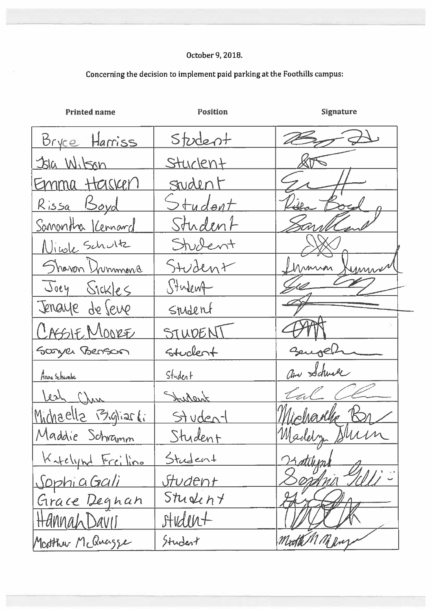| <b>Printed name</b> | <b>Position</b> | <b>Signature</b> |
|---------------------|-----------------|------------------|
| Bryce Harriss       | Student         |                  |
| 31a Wilson          | Stuckent        |                  |
| Emma Hasken         | Student         |                  |
| <u>Rissa Boyd</u>   | Student         |                  |
| Sanantha Kennard    | Student         |                  |
| Nicole Schultz      | Student         |                  |
| Shavon Drummond     | Student         | Munion<br>ummer  |
| Joey Sickles        | Student         |                  |
| Jenaye de Seve      | Student         |                  |
| CASSIE MOORE        | STUDENT         |                  |
| Sconyer Benson      | stuckent        | Seugen           |
| Anna Schwabe        | Student         | am Schwel        |
| Lesh Chan           | Judant          | tal              |
| Michaella Bigliarti | Studen-         |                  |
| Maddie Schramm      | Student         | Madelyn Shirin   |
| Katelynd Freiling   | Student         | Latilum          |
| <u>SophiaGali</u>   | <u>Student</u>  |                  |
| Grace Degnan        | Student         |                  |
| Hannah Davis        | student         |                  |
| Matther McQuazze    | Student         | Mother M Mary    |